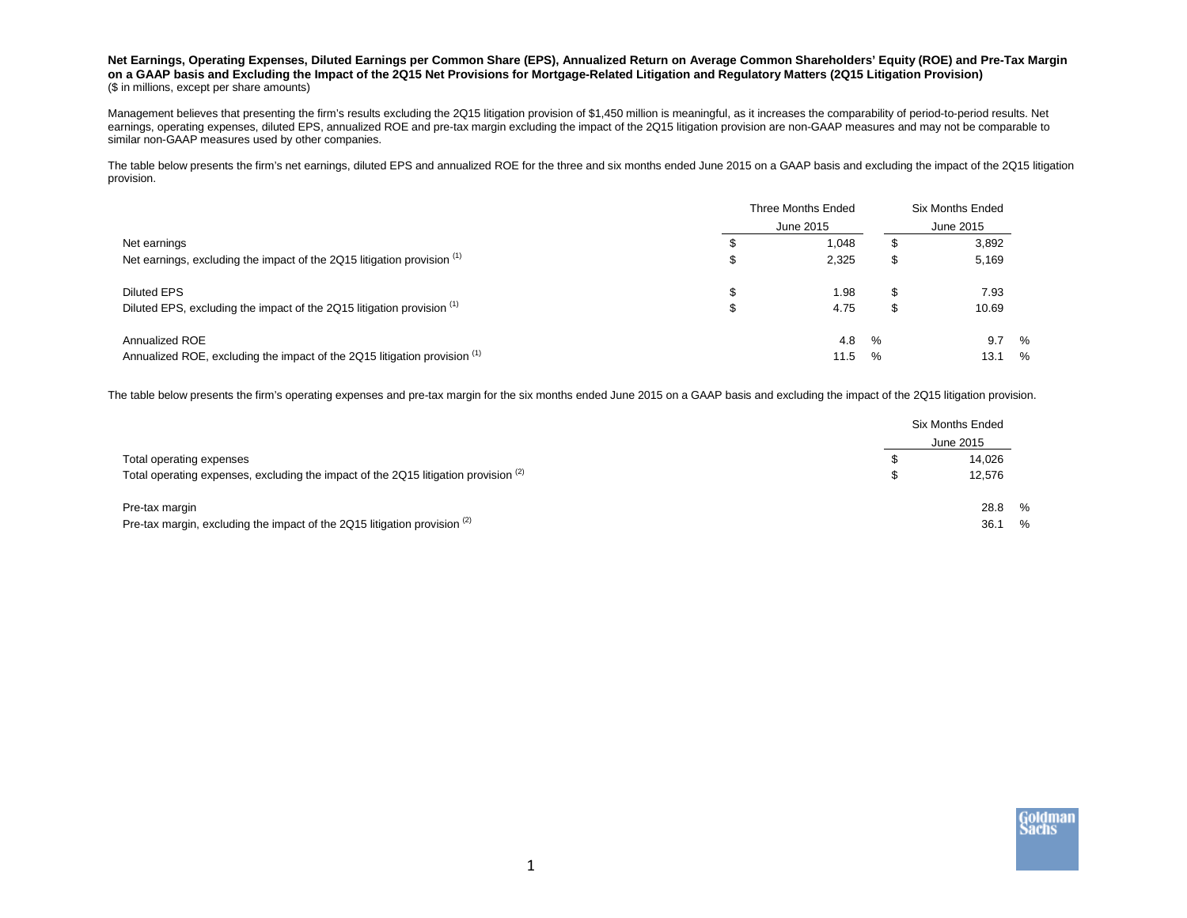## **Net Earnings, Operating Expenses, Diluted Earnings per Common Share (EPS), Annualized Return on Average Common Shareholders' Equity (ROE) and Pre-Tax Margin on a GAAP basis and Excluding the Impact of the 2Q15 Net Provisions for Mortgage-Related Litigation and Regulatory Matters (2Q15 Litigation Provision)** (\$ in millions, except per share amounts)

Management believes that presenting the firm's results excluding the 2Q15 litigation provision of \$1,450 million is meaningful, as it increases the comparability of period-to-period results. Net earnings, operating expenses, diluted EPS, annualized ROE and pre-tax margin excluding the impact of the 2Q15 litigation provision are non-GAAP measures and may not be comparable to similar non-GAAP measures used by other companies.

The table below presents the firm's net earnings, diluted EPS and annualized ROE for the three and six months ended June 2015 on a GAAP basis and excluding the impact of the 2Q15 litigation provision.

|                                                                                              | Three Months Ended<br>June 2015 |                |           | <b>Six Months Ended</b><br>June 2015 |           |  |
|----------------------------------------------------------------------------------------------|---------------------------------|----------------|-----------|--------------------------------------|-----------|--|
| Net earnings<br>Net earnings, excluding the impact of the 2Q15 litigation provision (1)      |                                 | 1,048<br>2,325 | £.<br>S   | 3,892<br>5,169                       |           |  |
| <b>Diluted EPS</b><br>Diluted EPS, excluding the impact of the 2Q15 litigation provision (1) |                                 | 1.98<br>4.75   | \$.<br>S  | 7.93<br>10.69                        |           |  |
| Annualized ROE<br>Annualized ROE, excluding the impact of the 2Q15 litigation provision (1)  |                                 | 4.8<br>11.5    | $\%$<br>% | 9.7<br>13.1                          | $\%$<br>% |  |

The table below presents the firm's operating expenses and pre-tax margin for the six months ended June 2015 on a GAAP basis and excluding the impact of the 2Q15 litigation provision.

|                                                                                       | <b>Six Months Ended</b><br>June 2015 |      |
|---------------------------------------------------------------------------------------|--------------------------------------|------|
| Total operating expenses                                                              | 14.026                               |      |
| Total operating expenses, excluding the impact of the 2Q15 litigation provision $(2)$ | 12.576                               |      |
| Pre-tax margin                                                                        | 28.8 %                               |      |
| Pre-tax margin, excluding the impact of the 2Q15 litigation provision $(2)$           | 36.1                                 | $\%$ |

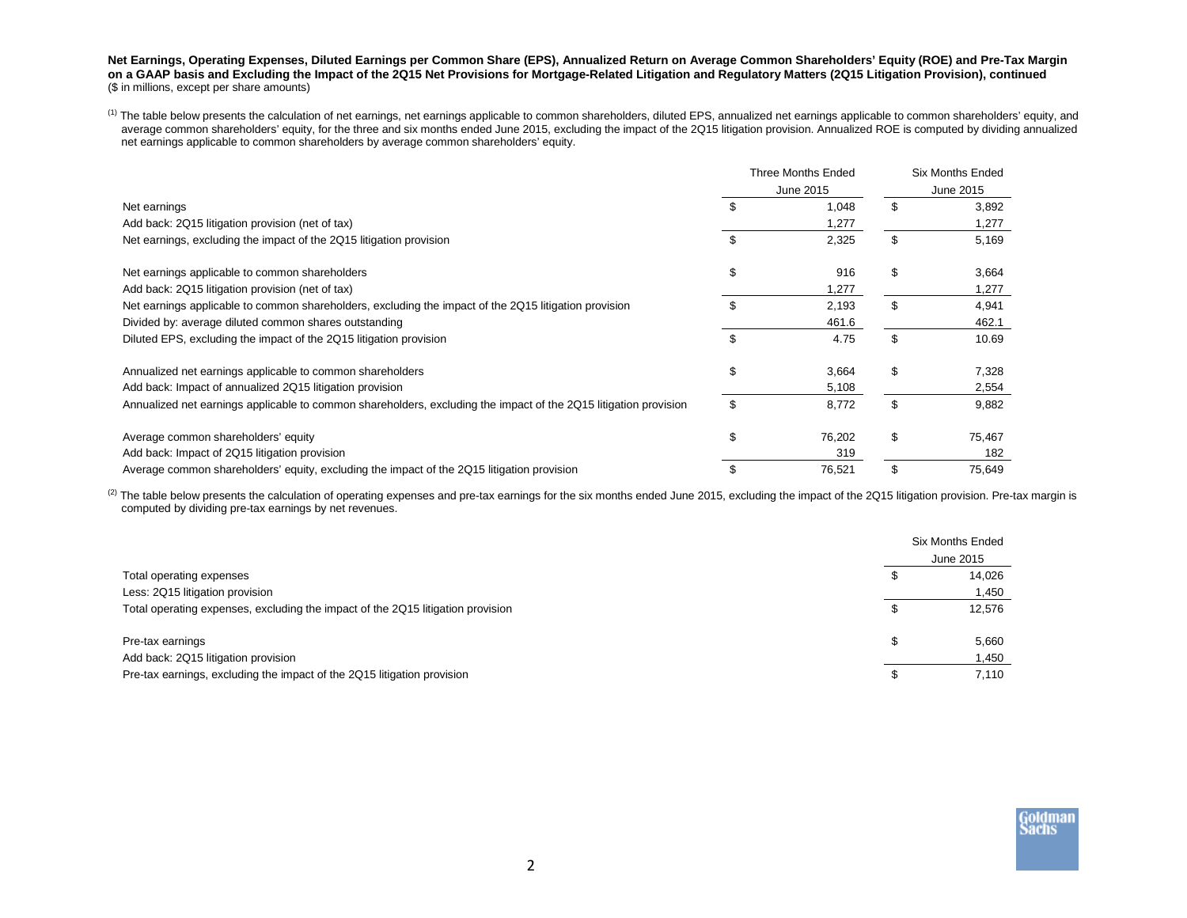**Net Earnings, Operating Expenses, Diluted Earnings per Common Share (EPS), Annualized Return on Average Common Shareholders' Equity (ROE) and Pre-Tax Margin on a GAAP basis and Excluding the Impact of the 2Q15 Net Provisions for Mortgage-Related Litigation and Regulatory Matters (2Q15 Litigation Provision), continued** (\$ in millions, except per share amounts)

<sup>(1)</sup> The table below presents the calculation of net earnings, net earnings applicable to common shareholders, diluted EPS, annualized net earnings applicable to common shareholders' equity, and average common shareholders' equity, for the three and six months ended June 2015, excluding the impact of the 2Q15 litigation provision. Annualized ROE is computed by dividing annualized net earnings applicable to common shareholders by average common shareholders' equity.

|                                                                                                                  |  | <b>Three Months Ended</b> |           | <b>Six Months Ended</b> |
|------------------------------------------------------------------------------------------------------------------|--|---------------------------|-----------|-------------------------|
|                                                                                                                  |  | June 2015                 | June 2015 |                         |
| Net earnings                                                                                                     |  | 1,048                     | \$        | 3,892                   |
| Add back: 2Q15 litigation provision (net of tax)                                                                 |  | 1,277                     |           | 1,277                   |
| Net earnings, excluding the impact of the 2Q15 litigation provision                                              |  | 2,325                     | \$        | 5,169                   |
| Net earnings applicable to common shareholders                                                                   |  | 916                       | \$        | 3,664                   |
| Add back: 2Q15 litigation provision (net of tax)                                                                 |  | 1,277                     |           | 1,277                   |
| Net earnings applicable to common shareholders, excluding the impact of the 2Q15 litigation provision            |  | 2,193                     | \$.       | 4,941                   |
| Divided by: average diluted common shares outstanding                                                            |  | 461.6                     |           | 462.1                   |
| Diluted EPS, excluding the impact of the 2Q15 litigation provision                                               |  | 4.75                      | \$        | 10.69                   |
| Annualized net earnings applicable to common shareholders                                                        |  | 3,664                     | \$        | 7,328                   |
| Add back: Impact of annualized 2Q15 litigation provision                                                         |  | 5,108                     |           | 2,554                   |
| Annualized net earnings applicable to common shareholders, excluding the impact of the 2Q15 litigation provision |  | 8,772                     | \$        | 9,882                   |
| Average common shareholders' equity                                                                              |  | 76,202                    | \$        | 75,467                  |
| Add back: Impact of 2Q15 litigation provision                                                                    |  | 319                       |           | 182                     |
| Average common shareholders' equity, excluding the impact of the 2Q15 litigation provision                       |  | 76,521                    |           | 75,649                  |

(2) The table below presents the calculation of operating expenses and pre-tax earnings for the six months ended June 2015, excluding the impact of the 2Q15 litigation provision. Pre-tax margin is computed by dividing pre-tax earnings by net revenues.

|                                                                                 | <b>Six Months Ended</b> |
|---------------------------------------------------------------------------------|-------------------------|
|                                                                                 | June 2015               |
| Total operating expenses                                                        | 14.026                  |
| Less: 2Q15 litigation provision                                                 | 1,450                   |
| Total operating expenses, excluding the impact of the 2Q15 litigation provision | 12.576                  |
| Pre-tax earnings                                                                | 5,660                   |
| Add back: 2Q15 litigation provision                                             | 1,450                   |
| Pre-tax earnings, excluding the impact of the 2Q15 litigation provision         | 7.110                   |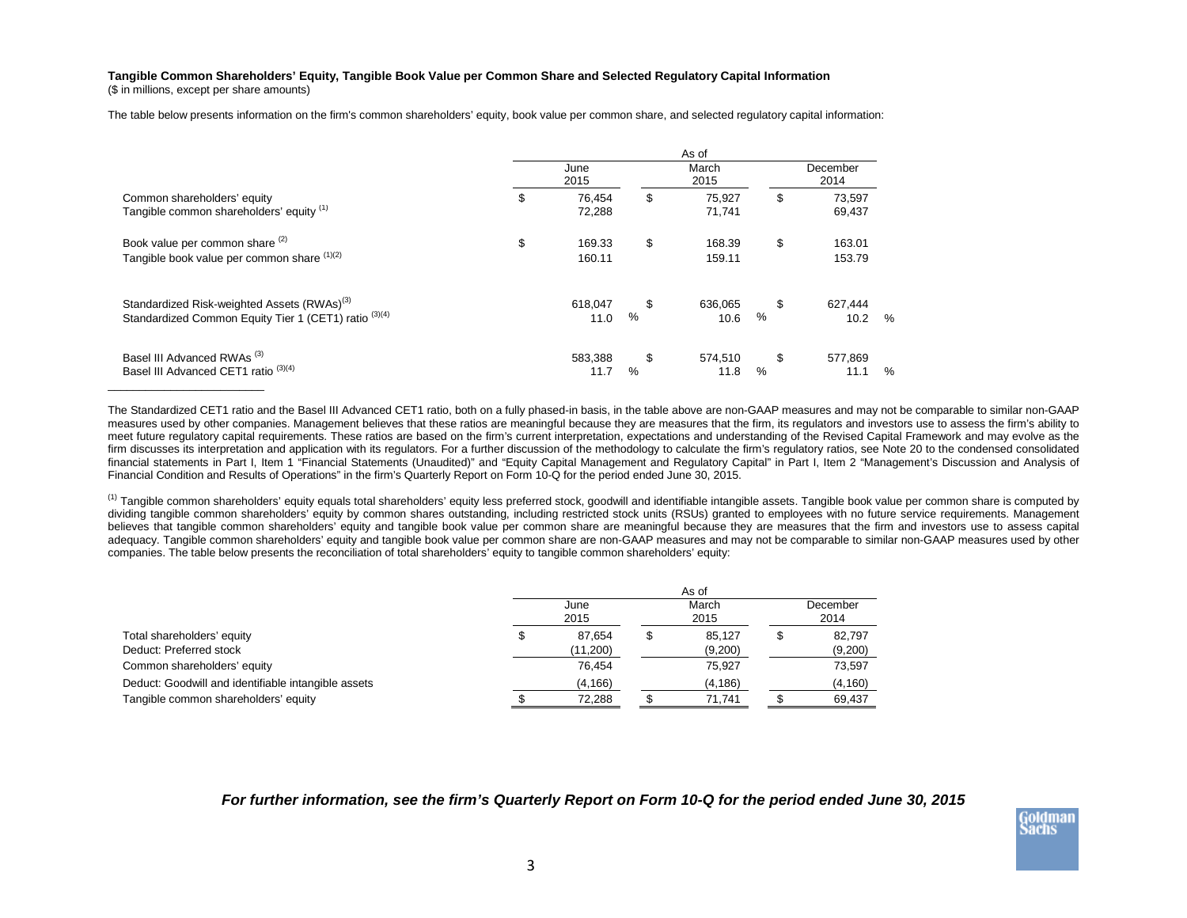## **Tangible Common Shareholders' Equity, Tangible Book Value per Common Share and Selected Regulatory Capital Information**

(\$ in millions, except per share amounts)

The table below presents information on the firm's common shareholders' equity, book value per common share, and selected regulatory capital information:

|                                                                                                                  |              |                  |         | As of            |            |                  |               |
|------------------------------------------------------------------------------------------------------------------|--------------|------------------|---------|------------------|------------|------------------|---------------|
|                                                                                                                  | June<br>2015 |                  |         | March<br>2015    |            | December<br>2014 |               |
| Common shareholders' equity<br>Tangible common shareholders' equity (1)                                          | \$           | 76,454<br>72,288 | \$      | 75,927<br>71,741 | \$         | 73,597<br>69,437 |               |
| Book value per common share (2)<br>Tangible book value per common share (1)(2)                                   | \$           | 169.33<br>160.11 | \$      | 168.39<br>159.11 | \$         | 163.01<br>153.79 |               |
| Standardized Risk-weighted Assets (RWAs) <sup>(3)</sup><br>Standardized Common Equity Tier 1 (CET1) ratio (3)(4) |              | 618,047<br>11.0  | \$<br>% | 636,065<br>10.6  | \$<br>$\%$ | 627,444<br>10.2  | $\frac{0}{0}$ |
| Basel III Advanced RWAs <sup>(3)</sup><br>Basel III Advanced CET1 ratio <sup>(3)(4)</sup>                        |              | 583.388<br>11.7  | \$<br>% | 574,510<br>11.8  | \$<br>%    | 577,869<br>11.1  | $\frac{0}{0}$ |

The Standardized CET1 ratio and the Basel III Advanced CET1 ratio, both on a fully phased-in basis, in the table above are non-GAAP measures and may not be comparable to similar non-GAAP measures used by other companies. Management believes that these ratios are meaningful because they are measures that the firm, its regulators and investors use to assess the firm's ability to meet future regulatory capital requirements. These ratios are based on the firm's current interpretation, expectations and understanding of the Revised Capital Framework and may evolve as the firm discusses its interpretation and application with its regulators. For a further discussion of the methodology to calculate the firm's regulatory ratios, see Note 20 to the condensed consolidated financial statements in Part I, Item 1 "Financial Statements (Unaudited)" and "Equity Capital Management and Regulatory Capital" in Part I, Item 2 "Management's Discussion and Analysis of Financial Condition and Results of Operations" in the firm's Quarterly Report on Form 10-Q for the period ended June 30, 2015.

<sup>(1)</sup> Tangible common shareholders' equity equals total shareholders' equity less preferred stock, goodwill and identifiable intangible assets. Tangible book value per common share is computed by dividing tangible common shareholders' equity by common shares outstanding, including restricted stock units (RSUs) granted to employees with no future service requirements. Management believes that tangible common shareholders' equity and tangible book value per common share are meaningful because they are measures that the firm and investors use to assess capital adequacy. Tangible common shareholders' equity and tangible book value per common share are non-GAAP measures and may not be comparable to similar non-GAAP measures used by other companies. The table below presents the reconciliation of total shareholders' equity to tangible common shareholders' equity:

|                                                     | As of        |          |               |          |                  |          |
|-----------------------------------------------------|--------------|----------|---------------|----------|------------------|----------|
|                                                     | June<br>2015 |          | March<br>2015 |          | December<br>2014 |          |
| Total shareholders' equity                          |              | 87.654   | S             | 85.127   |                  | 82,797   |
| Deduct: Preferred stock                             |              | (11,200) |               | (9,200)  |                  | (9,200)  |
| Common shareholders' equity                         |              | 76.454   |               | 75,927   |                  | 73,597   |
| Deduct: Goodwill and identifiable intangible assets |              | (4, 166) |               | (4, 186) |                  | (4, 160) |
| Tangible common shareholders' equity                |              | 72.288   |               | 71.741   |                  | 69,437   |

*For further information, see the firm's Quarterly Report on Form 10-Q for the period ended June 30, 2015*